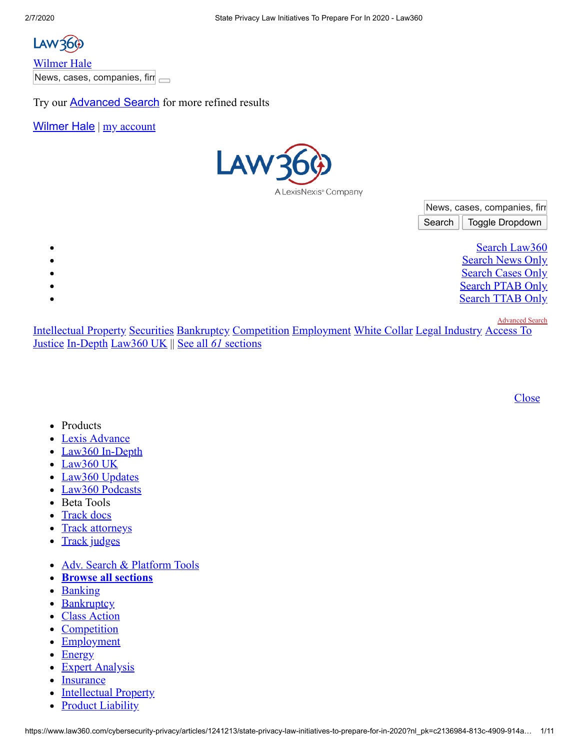$\bullet$ 

LAW36¢ [Wilmer Hale](https://www.law360.com/account/login?return_url=https%3A%2F%2Fwww.law360.com%2Fcybersecurity-privacy%2Farticles%2F1241213%2Fstate-privacy-law-initiatives-to-prepare-for-in-2020%3Fnl_pk%3Dc2136984-813c-4909-914a-7be63049adb2%26utm_source%3Dnewsletter%26utm_medium%3Demail%26utm_campaign%3Dcybersecurity-privacy) News, cases, companies, firr

Try our **[Advanced Search](https://www.law360.com/advanced_search)** for more refined results

[Wilmer Hale](https://www.law360.com/account/login?return_url=https%3A%2F%2Fwww.law360.com%2Fcybersecurity-privacy%2Farticles%2F1241213%2Fstate-privacy-law-initiatives-to-prepare-for-in-2020%3Fnl_pk%3Dc2136984-813c-4909-914a-7be63049adb2%26utm_source%3Dnewsletter%26utm_medium%3Demail%26utm_campaign%3Dcybersecurity-privacy) | [my account](https://www.law360.com/account)



News, cases, companies, firr Search | Toggle Dropdown

> [Search Law360](https://www.law360.com/search) **[Search News Only](https://www.law360.com/search/articles) [Search Cases Only](https://www.law360.com/search/cases) [Search PTAB Only](https://www.law360.com/search/ptab_cases) [Search TTAB Only](https://www.law360.com/search/ttab_cases)**

> > [Advanced Search](https://www.law360.com/advanced_search)

[Intellectual Property](https://www.law360.com/access-to-justice) [Securities](https://www.law360.com/securities) [Bankruptcy](https://www.law360.com/bankruptcy) [Competition](https://www.law360.com/competition) [Employment](https://www.law360.com/employment) [White Collar](https://www.law360.com/whitecollar) [Legal Industry](https://www.law360.com/legalindustry) Access To Justice [In-Depth](https://www.law360.com/in-depth) [Law360 UK](https://www.law360.co.uk/) || See all *61* sections

**Close** 

- Products
- **[Lexis Advance](https://advance.lexis.com/)**
- [Law360 In-Depth](https://www.law360.com/in-depth)
- $\bullet$  [Law360 UK](https://www.law360.co.uk/)
- [Law360 Updates](http://blogs.law360.com/)  $\bullet$
- [Law360 Podcasts](https://www.law360.com/law360podcasts)  $\bullet$
- Beta Tools
- $\bullet$ **[Track docs](https://www.law360.com/advanced_search/dockets)**
- **[Track attorneys](https://www.law360.com/advanced_search/attorneys)**  $\bullet$
- [Track judges](https://www.law360.com/advanced_search/judges)
- [Adv. Search & Platform Tools](https://www.law360.com/advanced_search)
- **[Browse all sections](https://www.law360.com/sections)**
- [Banking](https://www.law360.com/banking)
- [Bankruptcy](https://www.law360.com/bankruptcy)
- [Class Action](https://www.law360.com/classaction)
- **[Competition](https://www.law360.com/competition)**  $\bullet$
- **[Employment](https://www.law360.com/employment)**  $\bullet$
- $\bullet$ **[Energy](https://www.law360.com/energy)**
- [Expert Analysis](https://www.law360.com/expertanalysis)
- [Insurance](https://www.law360.com/insurance)
- [Intellectual Property](https://www.law360.com/ip)
- [Product Liability](https://www.law360.com/productliability)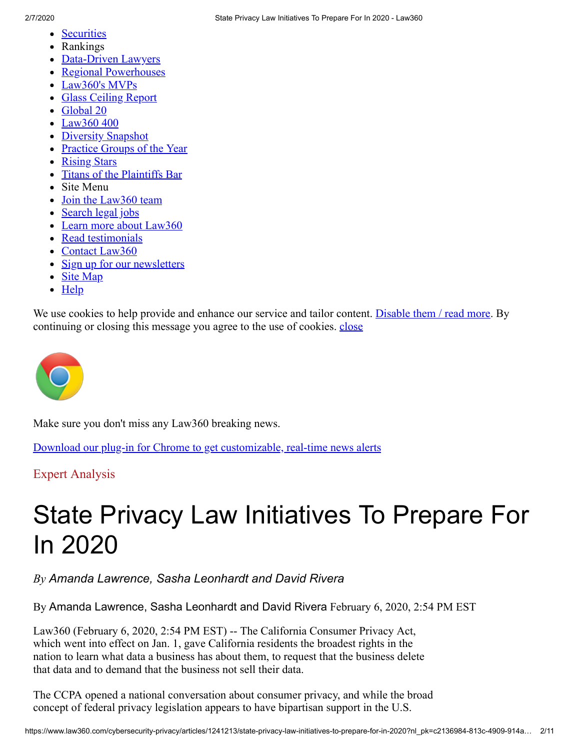- [Securities](https://www.law360.com/securities)
- Rankings
- [Data-Driven Lawyers](https://www.law360.com/articles/1105965/the-data-driven-lawyers-of-2018?site-menu=1)
- [Regional Powerhouses](https://www.law360.com/articles/1194368/the-2019-regional-powerhouses?site-menu=1)
- [Law360's MVPs](https://www.law360.com/legalindustry/articles/992207/law360-mvp-awards-go-to-top-attorneys-from-78-firms?site-menu=1)
- [Glass Ceiling Report](https://www.law360.com/legalindustry/articles/1164440?site-menu=1)
- [Global 20](https://www.law360.com/articles/1181369/law360-reveals-the-global-20-firms-of-2019?site-menu=1)
- $\bullet$  [Law360 400](https://www.law360.com/legalindustry/articles/1159548/the-law360-400?site-menu=1)
- [Diversity Snapshot](https://www.law360.com/articles/1177089/the-2019-law360-diversity-snapshot?site-menu=1)
- [Practice Groups of the Year](https://www.law360.com/articles/998948/law360-names-practice-groups-of-the-year?site-menu=1)
- [Rising Stars](https://www.law360.com/articles/1191150/law360-names-top-attorneys-under-40?site-menu=1)
- [Titans of the Plaintiffs Bar](https://www.law360.com/articles/1150639?site-menu=1)
- Site Menu
- [Join the Law360 team](https://www.law360.com/careers)
- [Search legal jobs](http://jobs.law360.com/)
- [Learn more about Law360](https://www.law360.com/about)
- [Read testimonials](https://www.law360.com/testimonials)
- [Contact Law360](https://www.law360.com/about/contact)
- [Sign up for our newsletters](https://www.law360.com/newsletters)
- [Site Map](https://www.law360.com/site_index)
- $\bullet$  [Help](https://www.law360.com/faq)

We use cookies to help provide and enhance our service and tailor content. [Disable them / read more.](https://www.lexisnexis.com/global/privacy/privacy-cookies/?gid=1701&locale=en-us) By continuing or closing this message you agree to the use of cookies. *close* 



Make sure you don't miss any Law360 breaking news.

[Download our plug-in for Chrome to get customizable, real-time news alerts](https://chrome.google.com/webstore/detail/law360/dcfplimfcdkilcpohpccnfgkghbimblp)

[Expert Analysis](https://www.law360.com/expertanalysis)

# State Privacy Law Initiatives To Prepare For In 2020

*By Amanda Lawrence, Sasha Leonhardt and David Rivera*

By Amanda Lawrence, Sasha Leonhardt and David Rivera February 6, 2020, 2:54 PM EST

Law360 (February 6, 2020, 2:54 PM EST) -- The California Consumer Privacy Act, which went into effect on Jan. 1, gave California residents the broadest rights in the nation to learn what data a business has about them, to request that the business delete that data and to demand that the business not sell their data.

The CCPA opened a national conversation about consumer privacy, and while the broad concept of federal privacy legislation appears to have bipartisan support in the U.S.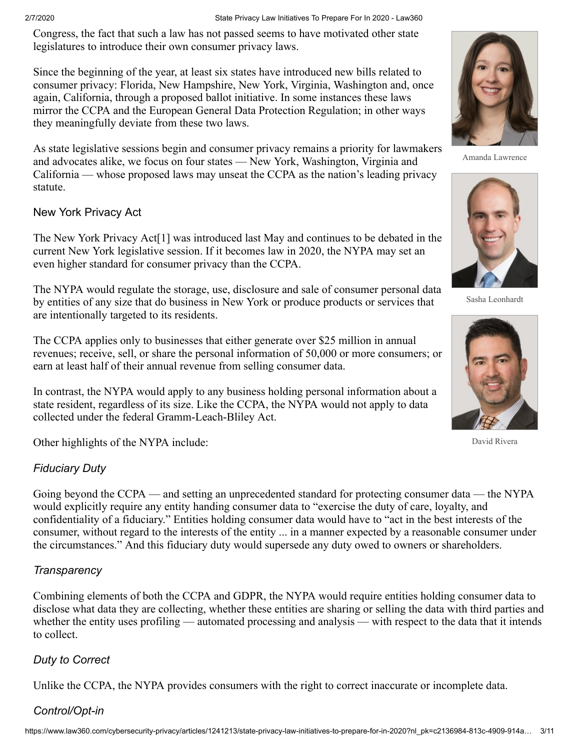Congress, the fact that such a law has not passed seems to have motivated other state legislatures to introduce their own consumer privacy laws.

Since the beginning of the year, at least six states have introduced new bills related to consumer privacy: Florida, New Hampshire, New York, Virginia, Washington and, once again, California, through a proposed ballot initiative. In some instances these laws mirror the CCPA and the European General Data Protection Regulation; in other ways they meaningfully deviate from these two laws.

As state legislative sessions begin and consumer privacy remains a priority for lawmakers and advocates alike, we focus on four states — New York, Washington, Virginia and California — whose proposed laws may unseat the CCPA as the nation's leading privacy statute.

### New York Privacy Act

The New York Privacy Act[1] was introduced last May and continues to be debated in the current New York legislative session. If it becomes law in 2020, the NYPA may set an even higher standard for consumer privacy than the CCPA.

The NYPA would regulate the storage, use, disclosure and sale of consumer personal data by entities of any size that do business in New York or produce products or services that are intentionally targeted to its residents.

The CCPA applies only to businesses that either generate over \$25 million in annual revenues; receive, sell, or share the personal information of 50,000 or more consumers; or earn at least half of their annual revenue from selling consumer data.

In contrast, the NYPA would apply to any business holding personal information about a state resident, regardless of its size. Like the CCPA, the NYPA would not apply to data collected under the federal Gramm-Leach-Bliley Act.

Other highlights of the NYPA include:

### *Fiduciary Duty*

Going beyond the CCPA — and setting an unprecedented standard for protecting consumer data — the NYPA would explicitly require any entity handing consumer data to "exercise the duty of care, loyalty, and confidentiality of a fiduciary." Entities holding consumer data would have to "act in the best interests of the consumer, without regard to the interests of the entity ... in a manner expected by a reasonable consumer under the circumstances." And this fiduciary duty would supersede any duty owed to owners or shareholders.

### *Transparency*

Combining elements of both the CCPA and GDPR, the NYPA would require entities holding consumer data to disclose what data they are collecting, whether these entities are sharing or selling the data with third parties and whether the entity uses profiling — automated processing and analysis — with respect to the data that it intends to collect.

### *Duty to Correct*

Unlike the CCPA, the NYPA provides consumers with the right to correct inaccurate or incomplete data.

### *Control/Opt-in*



Amanda Lawrence



Sasha Leonhardt



David Rivera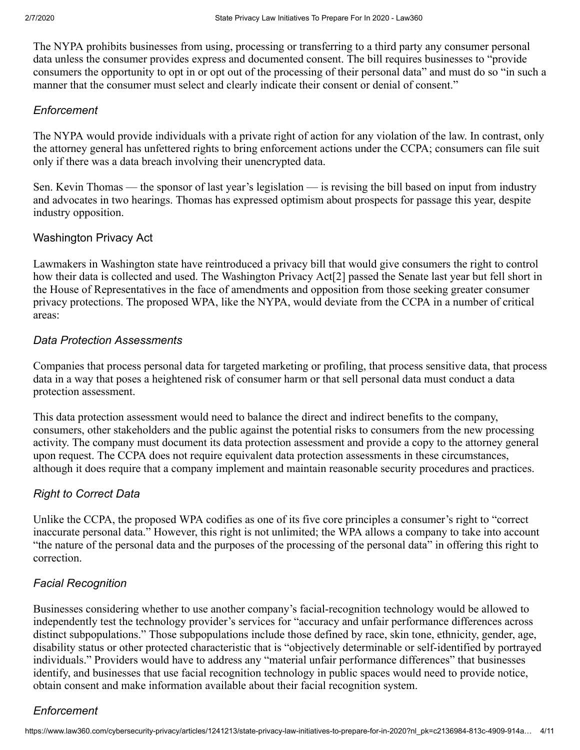The NYPA prohibits businesses from using, processing or transferring to a third party any consumer personal data unless the consumer provides express and documented consent. The bill requires businesses to "provide consumers the opportunity to opt in or opt out of the processing of their personal data" and must do so "in such a manner that the consumer must select and clearly indicate their consent or denial of consent."

#### *Enforcement*

The NYPA would provide individuals with a private right of action for any violation of the law. In contrast, only the attorney general has unfettered rights to bring enforcement actions under the CCPA; consumers can file suit only if there was a data breach involving their unencrypted data.

Sen. Kevin Thomas — the sponsor of last year's legislation — is revising the bill based on input from industry and advocates in two hearings. Thomas has expressed optimism about prospects for passage this year, despite industry opposition.

#### Washington Privacy Act

Lawmakers in Washington state have reintroduced a privacy bill that would give consumers the right to control how their data is collected and used. The Washington Privacy Act[2] passed the Senate last year but fell short in the House of Representatives in the face of amendments and opposition from those seeking greater consumer privacy protections. The proposed WPA, like the NYPA, would deviate from the CCPA in a number of critical areas:

#### *Data Protection Assessments*

Companies that process personal data for targeted marketing or profiling, that process sensitive data, that process data in a way that poses a heightened risk of consumer harm or that sell personal data must conduct a data protection assessment.

This data protection assessment would need to balance the direct and indirect benefits to the company, consumers, other stakeholders and the public against the potential risks to consumers from the new processing activity. The company must document its data protection assessment and provide a copy to the attorney general upon request. The CCPA does not require equivalent data protection assessments in these circumstances, although it does require that a company implement and maintain reasonable security procedures and practices.

#### *Right to Correct Data*

Unlike the CCPA, the proposed WPA codifies as one of its five core principles a consumer's right to "correct inaccurate personal data." However, this right is not unlimited; the WPA allows a company to take into account "the nature of the personal data and the purposes of the processing of the personal data" in offering this right to correction.

#### *Facial Recognition*

Businesses considering whether to use another company's facial-recognition technology would be allowed to independently test the technology provider's services for "accuracy and unfair performance differences across distinct subpopulations." Those subpopulations include those defined by race, skin tone, ethnicity, gender, age, disability status or other protected characteristic that is "objectively determinable or self-identified by portrayed individuals." Providers would have to address any "material unfair performance differences" that businesses identify, and businesses that use facial recognition technology in public spaces would need to provide notice, obtain consent and make information available about their facial recognition system.

#### *Enforcement*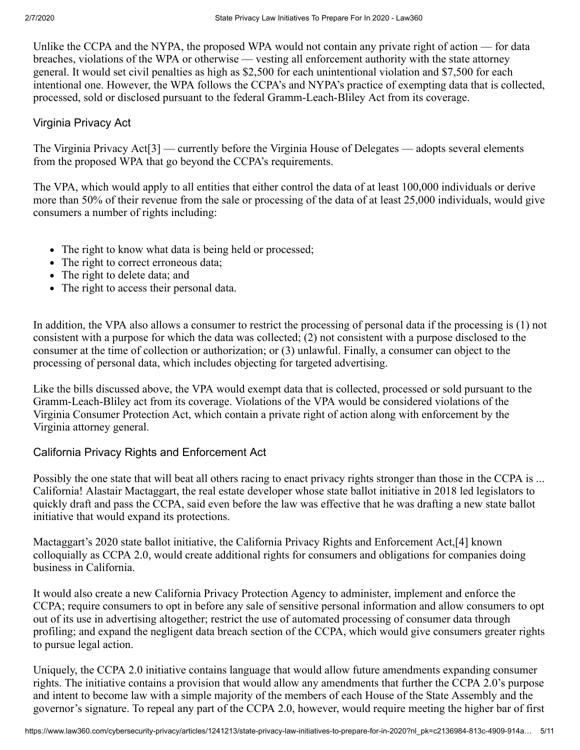Unlike the CCPA and the NYPA, the proposed WPA would not contain any private right of action — for data breaches, violations of the WPA or otherwise — vesting all enforcement authority with the state attorney general. It would set civil penalties as high as \$2,500 for each unintentional violation and \$7,500 for each intentional one. However, the WPA follows the CCPA's and NYPA's practice of exempting data that is collected, processed, sold or disclosed pursuant to the federal Gramm-Leach-Bliley Act from its coverage.

#### Virginia Privacy Act

The Virginia Privacy Act[3] — currently before the Virginia House of Delegates — adopts several elements from the proposed WPA that go beyond the CCPA's requirements.

The VPA, which would apply to all entities that either control the data of at least 100,000 individuals or derive more than 50% of their revenue from the sale or processing of the data of at least 25,000 individuals, would give consumers a number of rights including:

- The right to know what data is being held or processed;
- The right to correct erroneous data;
- The right to delete data; and
- The right to access their personal data.

In addition, the VPA also allows a consumer to restrict the processing of personal data if the processing is (1) not consistent with a purpose for which the data was collected; (2) not consistent with a purpose disclosed to the consumer at the time of collection or authorization; or (3) unlawful. Finally, a consumer can object to the processing of personal data, which includes objecting for targeted advertising.

Like the bills discussed above, the VPA would exempt data that is collected, processed or sold pursuant to the Gramm-Leach-Bliley act from its coverage. Violations of the VPA would be considered violations of the Virginia Consumer Protection Act, which contain a private right of action along with enforcement by the Virginia attorney general.

#### California Privacy Rights and Enforcement Act

Possibly the one state that will beat all others racing to enact privacy rights stronger than those in the CCPA is ... California! Alastair Mactaggart, the real estate developer whose state ballot initiative in 2018 led legislators to quickly draft and pass the CCPA, said even before the law was effective that he was drafting a new state ballot initiative that would expand its protections.

Mactaggart's 2020 state ballot initiative, the California Privacy Rights and Enforcement Act,[4] known colloquially as CCPA 2.0, would create additional rights for consumers and obligations for companies doing business in California.

It would also create a new California Privacy Protection Agency to administer, implement and enforce the CCPA; require consumers to opt in before any sale of sensitive personal information and allow consumers to opt out of its use in advertising altogether; restrict the use of automated processing of consumer data through profiling; and expand the negligent data breach section of the CCPA, which would give consumers greater rights to pursue legal action.

Uniquely, the CCPA 2.0 initiative contains language that would allow future amendments expanding consumer rights. The initiative contains a provision that would allow any amendments that further the CCPA 2.0's purpose and intent to become law with a simple majority of the members of each House of the State Assembly and the governor's signature. To repeal any part of the CCPA 2.0, however, would require meeting the higher bar of first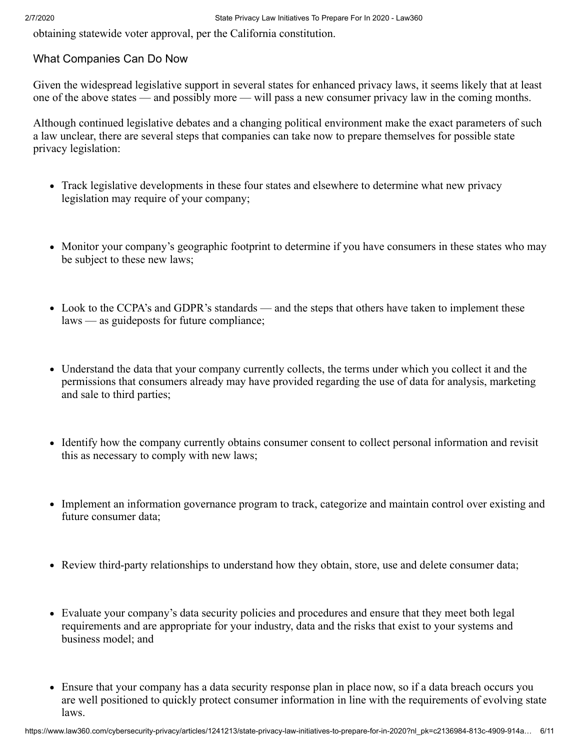obtaining statewide voter approval, per the California constitution.

#### What Companies Can Do Now

Given the widespread legislative support in several states for enhanced privacy laws, it seems likely that at least one of the above states — and possibly more — will pass a new consumer privacy law in the coming months.

Although continued legislative debates and a changing political environment make the exact parameters of such a law unclear, there are several steps that companies can take now to prepare themselves for possible state privacy legislation:

- Track legislative developments in these four states and elsewhere to determine what new privacy legislation may require of your company;
- Monitor your company's geographic footprint to determine if you have consumers in these states who may be subject to these new laws;
- Look to the CCPA's and GDPR's standards and the steps that others have taken to implement these laws — as guideposts for future compliance;
- Understand the data that your company currently collects, the terms under which you collect it and the permissions that consumers already may have provided regarding the use of data for analysis, marketing and sale to third parties;
- Identify how the company currently obtains consumer consent to collect personal information and revisit this as necessary to comply with new laws;
- Implement an information governance program to track, categorize and maintain control over existing and future consumer data;
- Review third-party relationships to understand how they obtain, store, use and delete consumer data;
- Evaluate your company's data security policies and procedures and ensure that they meet both legal requirements and are appropriate for your industry, data and the risks that exist to your systems and business model; and
- Ensure that your company has a data security response plan in place now, so if a data breach occurs you are well positioned to quickly protect consumer information in line with the requirements of evolving state laws.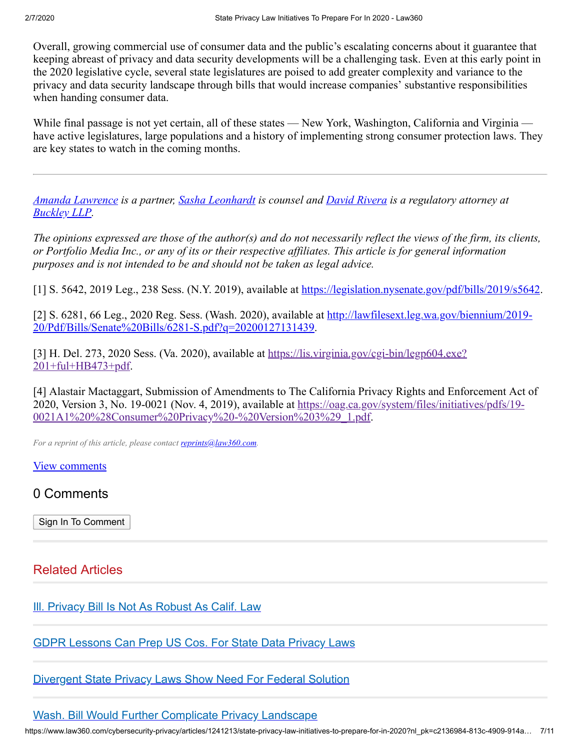Overall, growing commercial use of consumer data and the public's escalating concerns about it guarantee that keeping abreast of privacy and data security developments will be a challenging task. Even at this early point in the 2020 legislative cycle, several state legislatures are poised to add greater complexity and variance to the privacy and data security landscape through bills that would increase companies' substantive responsibilities when handing consumer data.

While final passage is not yet certain, all of these states — New York, Washington, California and Virginia have active legislatures, large populations and a history of implementing strong consumer protection laws. They are key states to watch in the coming months.

*[Amanda Lawrence](https://buckleyfirm.com/people/amanda-r-lawrence) is a partner, [Sasha Leonhardt](https://buckleyfirm.com/people/sasha-leonhardt) is counsel and [David Rivera](https://buckleyfirm.com/people/david-rivera) is a regulatory attorney at [Buckley LLP](https://www.law360.com/firms/buckley-llp).*

*The opinions expressed are those of the author(s) and do not necessarily reflect the views of the firm, its clients, or Portfolio Media Inc., or any of its or their respective affiliates. This article is for general information purposes and is not intended to be and should not be taken as legal advice.*

[1] S. 5642, 2019 Leg., 238 Sess. (N.Y. 2019), available at<https://legislation.nysenate.gov/pdf/bills/2019/s5642>.

[\[2\] S. 6281, 66 Leg., 2020 Reg. Sess. \(Wash. 2020\), available at http://lawfilesext.leg.wa.gov/biennium/2019-](http://lawfilesext.leg.wa.gov/biennium/2019-20/Pdf/Bills/Senate%20Bills/6281-S.pdf?q=20200127131439) 20/Pdf/Bills/Senate%20Bills/6281-S.pdf?q=20200127131439.

[\[3\] H. Del. 273, 2020 Sess. \(Va. 2020\), available at https://lis.virginia.gov/cgi-bin/legp604.exe?](https://lis.virginia.gov/cgi-bin/legp604.exe?201+ful+HB473+pdf) 201+ful+HB473+pdf.

[4] Alastair Mactaggart, Submission of Amendments to The California Privacy Rights and Enforcement Act of [2020, Version 3, No. 19-0021 \(Nov. 4, 2019\), available at https://oag.ca.gov/system/files/initiatives/pdfs/19-](https://oag.ca.gov/system/files/initiatives/pdfs/19-0021A1%20%28Consumer%20Privacy%20-%20Version%203%29_1.pdf) 0021A1%20%28Consumer%20Privacy%20-%20Version%203%29\_1.pdf.

*For a reprint of this article, please contact [reprints@law360.com](mailto:reprints@law360.com?subject=State%20Privacy%20Law%20Initiatives%20To%20Prepare%20For%20In%202020).*

#### View comments

#### 0 Comments

Sign In To [Comment](https://www.law360.com/account/login?return_url=%2Farticles%2F1241213)

#### Related Articles

**III. Privacy Bill Is Not As Robust As Calif. Law** 

[GDPR Lessons Can Prep US Cos. For State Data Privacy Laws](https://www.law360.com/articles/1188287?scroll=1&related=1)

#### [Divergent State Privacy Laws Show Need For Federal Solution](https://www.law360.com/articles/1175448?scroll=1&related=1)

#### [Wash. Bill Would Further Complicate Privacy Landscape](https://www.law360.com/articles/1128043?scroll=1&related=1)

https://www.law360.com/cybersecurity-privacy/articles/1241213/state-privacy-law-initiatives-to-prepare-for-in-2020?nl\_pk=c2136984-813c-4909-914a… 7/11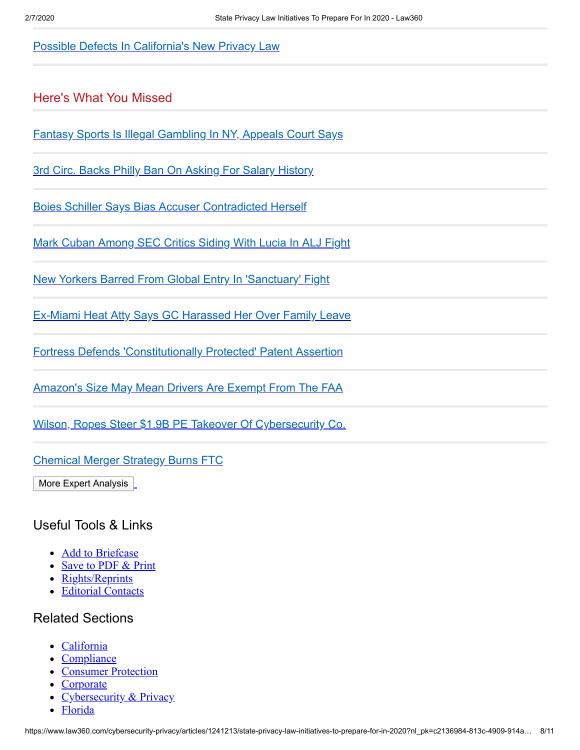[Possible Defects In California's New Privacy Law](https://www.law360.com/articles/1067951?scroll=1&related=1)

#### Here's What You Missed

[Fantasy Sports Is Illegal Gambling In NY, Appeals Court Says](https://www.law360.com/articles/1241574?scroll=1&latest=1)

**[3rd Circ. Backs Philly Ban On Asking For Salary History](https://www.law360.com/articles/1241448?scroll=1&latest=1)** 

[Boies Schiller Says Bias Accuser Contradicted Herself](https://www.law360.com/articles/1241408?scroll=1&latest=1)

[Mark Cuban Among SEC Critics Siding With Lucia In ALJ Fight](https://www.law360.com/articles/1241433?scroll=1&latest=1)

[New Yorkers Barred From Global Entry In 'Sanctuary' Fight](https://www.law360.com/articles/1241365?scroll=1&latest=1)

[Ex-Miami Heat Atty Says GC Harassed Her Over Family Leave](https://www.law360.com/articles/1241444?scroll=1&latest=1)

[Fortress Defends 'Constitutionally Protected' Patent Assertion](https://www.law360.com/articles/1241311?scroll=1&latest=1)

[Amazon's Size May Mean Drivers Are Exempt From The FAA](https://www.law360.com/articles/1241463?scroll=1&latest=1)

[Wilson, Ropes Steer \\$1.9B PE Takeover Of Cybersecurity Co.](https://www.law360.com/articles/1241387?scroll=1&latest=1)

#### [Chemical Merger Strategy Burns FTC](https://www.law360.com/articles/1241068?scroll=1&latest=1)

More Expert [Analysis](https://www.law360.com/expertanalysis)

#### Useful Tools & Links

- Add to Briefcase
- [Save to PDF & Print](https://www.law360.com/articles/1241213/print?section=california)
- [Rights/Reprints](https://www.law360.com/about/rights_and_reprints?article_id=1241213)
- [Editorial Contacts](https://www.law360.com/about/editorial_contacts)

#### Related Sections

- [California](https://www.law360.com/california?article_sidebar=1)
- [Compliance](https://www.law360.com/compliance?article_sidebar=1)
- **[Consumer Protection](https://www.law360.com/consumerprotection?article_sidebar=1)**
- **[Corporate](https://www.law360.com/corporate?article_sidebar=1)**
- [Cybersecurity & Privacy](https://www.law360.com/cybersecurity-privacy?article_sidebar=1)
- [Florida](https://www.law360.com/florida?article_sidebar=1)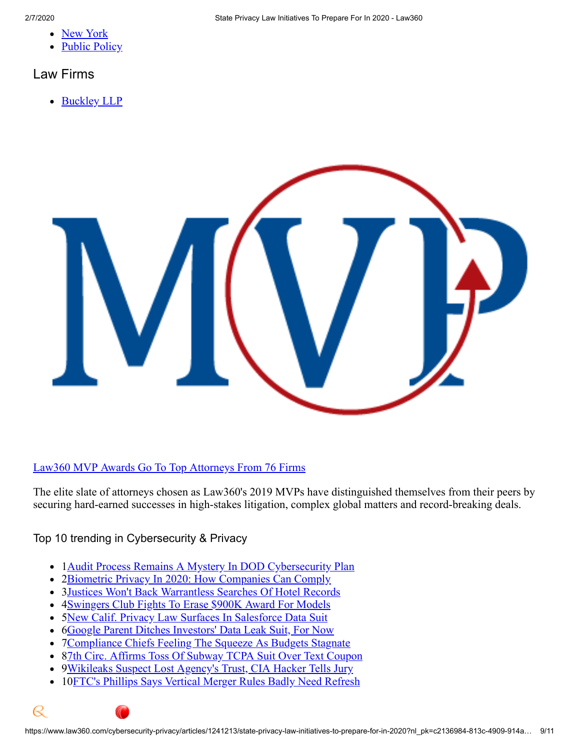- [New York](https://www.law360.com/newyork?article_sidebar=1)
- [Public Policy](https://www.law360.com/publicpolicy?article_sidebar=1)  $\bullet$

### Law Firms

• [Buckley LLP](https://www.law360.com/firms/buckley-llp/articles?article_related_content=1)





#### [Law360 MVP Awards Go To Top Attorneys From 76 Firms](https://www.law360.com/articles/1213684?promo_article=1)

The elite slate of attorneys chosen as Law360's 2019 MVPs have distinguished themselves from their peers by securing hard-earned successes in high-stakes litigation, complex global matters and record-breaking deals.

Top 10 trending in Cybersecurity & Privacy

- 1 [Audit Process Remains A Mystery In DOD Cybersecurity Plan](https://www.law360.com/articles/1240502?sidebar=true)
- 2[Biometric Privacy In 2020: How Companies Can Comply](https://www.law360.com/articles/1240643?sidebar=true)
- 3[Justices Won't Back Warrantless Searches Of Hotel Records](https://www.law360.com/articles/630069?sidebar=true)
- 4[Swingers Club Fights To Erase \\$900K Award For Models](https://www.law360.com/articles/1238121?sidebar=true)
- 5[New Calif. Privacy Law Surfaces In Salesforce Data Suit](https://www.law360.com/articles/1240852?sidebar=true)
- 6[Google Parent Ditches Investors' Data Leak Suit, For Now](https://www.law360.com/articles/1241188?sidebar=true)
- 7[Compliance Chiefs Feeling The Squeeze As Budgets Stagnate](https://www.law360.com/articles/1240424?sidebar=true)
- 8[7th Circ. Affirms Toss Of Subway TCPA Suit Over Text Coupon](https://www.law360.com/articles/1241025?sidebar=true)
- 9[Wikileaks Suspect Lost Agency's Trust, CIA Hacker Tells Jury](https://www.law360.com/articles/1241042?sidebar=true)
- 10[FTC's Phillips Says Vertical Merger Rules Badly Need Refresh](https://www.law360.com/articles/1241097?sidebar=true)

Q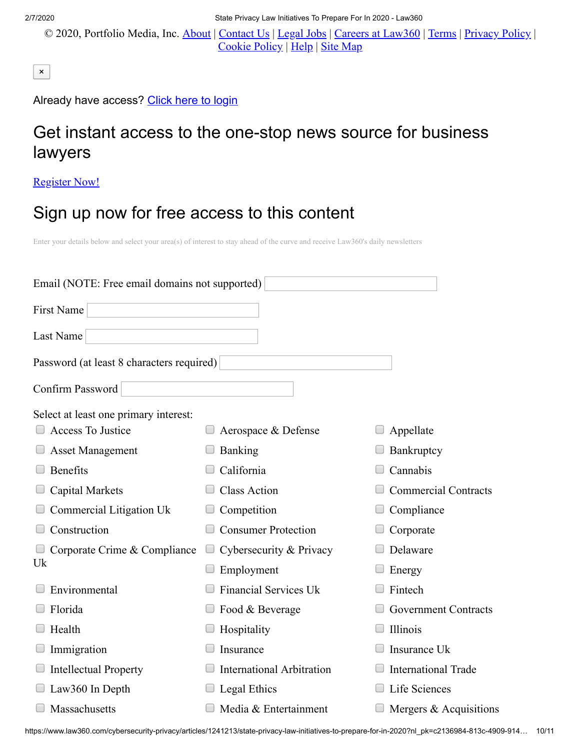2/7/2020 State Privacy Law Initiatives To Prepare For In 2020 - Law360

© 2020, Portfolio Media, Inc. [About](https://www.law360.com/about) | [Contact Us](https://www.law360.com/about/contact) | [Legal Jobs](http://jobs.law360.com/) | [Careers at Law360](https://www.law360.com/careers) | [Terms](https://www.law360.com/terms) | [Privacy Policy](https://www.law360.com/privacy_policy) | [Cookie Policy](https://www.lexisnexis.com/global/privacy/privacy-cookies/?gid=1701&locale=en-us) | [Help](https://www.law360.com/faq) | [Site Map](https://www.law360.com/site_index)

×

Already have access? [Click here to login](https://www.law360.com/account/login?return_url=https%3A%2F%2Fwww.law360.com%2Fcybersecurity-privacy%2Farticles%2F1241213%2Fstate-privacy-law-initiatives-to-prepare-for-in-2020%3Fnl_pk%3Dc2136984-813c-4909-914a-7be63049adb2%26utm_source%3Dnewsletter%26utm_medium%3Demail%26utm_campaign%3Dcybersecurity-privacy)

## Get instant access to the one-stop news source for business lawyers

**[Register Now!](https://www.law360.com/subscribe/get_instant_access?target_url=https%3A%2F%2Fwww.law360.com%2Fcybersecurity-privacy%2Farticles%2F1241213%2Fstate-privacy-law-initiatives-to-prepare-for-in-2020%3Fnl_pk%3Dc2136984-813c-4909-914a-7be63049adb2%26utm_source%3Dnewsletter%26utm_medium%3Demail%26utm_campaign%3Dcybersecurity-privacy)** 

## Sign up now for free access to this content

Enter your details below and select your area(s) of interest to stay ahead of the curve and receive Law360's daily newsletters

| Email (NOTE: Free email domains not supported) |                                  |                             |
|------------------------------------------------|----------------------------------|-----------------------------|
| <b>First Name</b>                              |                                  |                             |
| Last Name                                      |                                  |                             |
| Password (at least 8 characters required)      |                                  |                             |
| Confirm Password                               |                                  |                             |
| Select at least one primary interest:          |                                  |                             |
| <b>Access To Justice</b>                       | Aerospace & Defense              | Appellate                   |
| <b>Asset Management</b>                        | Banking                          | Bankruptcy                  |
| <b>Benefits</b>                                | California                       | Cannabis                    |
| <b>Capital Markets</b>                         | <b>Class Action</b>              | <b>Commercial Contracts</b> |
| <b>Commercial Litigation Uk</b>                | Competition                      | Compliance                  |
| Construction                                   | <b>Consumer Protection</b>       | Corporate                   |
| Corporate Crime & Compliance<br>Uk             | Cybersecurity & Privacy          | Delaware                    |
|                                                | Employment                       | Energy                      |
| Environmental                                  | <b>Financial Services Uk</b>     | Fintech                     |
| Florida                                        | Food & Beverage                  | <b>Government Contracts</b> |
| Health                                         | Hospitality                      | Illinois                    |
| Immigration                                    | Insurance                        | Insurance Uk                |
| <b>Intellectual Property</b>                   | <b>International Arbitration</b> | <b>International Trade</b>  |
| Law360 In Depth                                | Legal Ethics                     | Life Sciences               |
| Massachusetts                                  | Media & Entertainment            | Mergers & Acquisitions      |

https://www.law360.com/cybersecurity-privacy/articles/1241213/state-privacy-law-initiatives-to-prepare-for-in-2020?nl\_pk=c2136984-813c-4909-914… 10/11